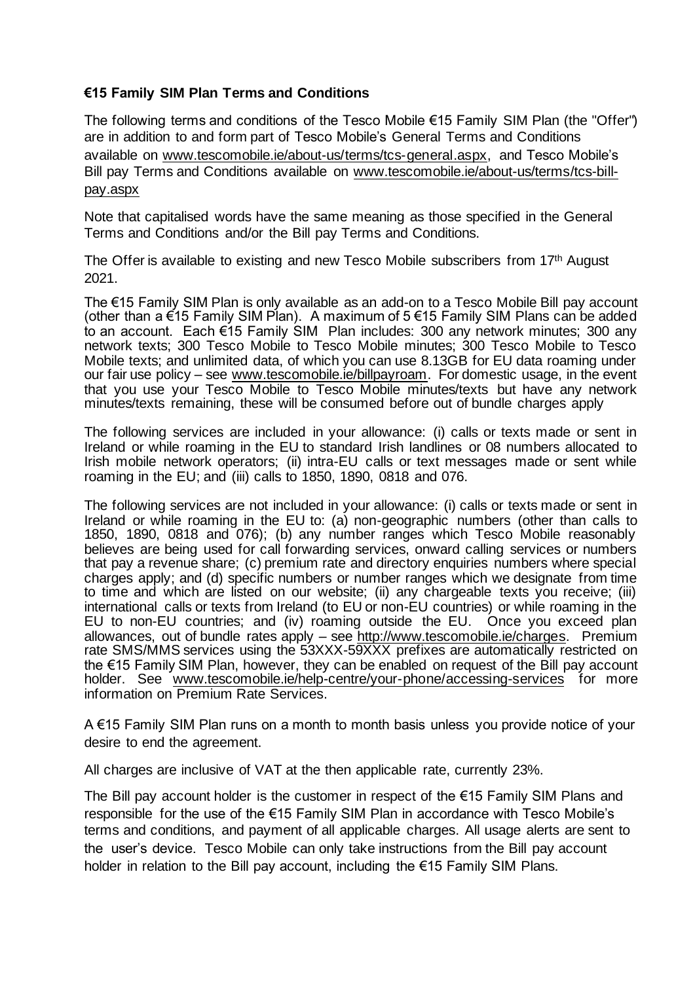## **€15 Family SIM Plan Terms and Conditions**

The following terms and conditions of the Tesco Mobile €15 Family SIM Plan (the "Offer") are in addition to and form part of Tesco Mobile's General Terms and Conditions available on [www.tescomobile.ie/about-us/terms/tcs-general.aspx,](http://www.tescomobile.ie/about-us/terms/tcs-general.aspx) and Tesco Mobile's Bill pay Terms and Conditions available on [www.tescomobile.ie/about-us/terms/tcs-bill](http://www.tescomobile.ie/about-us/terms/tcs-bill-pay.aspx)[pay.aspx](http://www.tescomobile.ie/about-us/terms/tcs-bill-pay.aspx)

Note that capitalised words have the same meaning as those specified in the General Terms and Conditions and/or the Bill pay Terms and Conditions.

The Offer is available to existing and new Tesco Mobile subscribers from 17th August 2021.

The €15 Family SIM Plan is only available as an add-on to a Tesco Mobile Bill pay account (other than a €15 Family SIM Plan). A maximum of  $5 \in 15$  Family SIM Plans can be added to an account. Each €15 Family SIM Plan includes: 300 any network minutes; 300 any network texts; 300 Tesco Mobile to Tesco Mobile minutes; 300 Tesco Mobile to Tesco Mobile texts; and unlimited data, of which you can use 8.13GB for EU data roaming under our fair use policy – see [www.tescomobile.ie/billpayroam.](http://www.tescomobile.ie/billpayroam) For domestic usage, in the event that you use your Tesco Mobile to Tesco Mobile minutes/texts but have any network minutes/texts remaining, these will be consumed before out of bundle charges apply

The following services are included in your allowance: (i) calls or texts made or sent in Ireland or while roaming in the EU to standard Irish landlines or 08 numbers allocated to Irish mobile network operators; (ii) intra-EU calls or text messages made or sent while roaming in the EU; and (iii) calls to 1850, 1890, 0818 and 076.

The following services are not included in your allowance: (i) calls or texts made or sent in Ireland or while roaming in the EU to: (a) non-geographic numbers (other than calls to 1850, 1890, 0818 and 076); (b) any number ranges which Tesco Mobile reasonably believes are being used for call forwarding services, onward calling services or numbers that pay a revenue share; (c) premium rate and directory enquiries numbers where special charges apply; and (d) specific numbers or number ranges which we designate from time to time and which are listed on our website; (ii) any chargeable texts you receive; (iii) international calls or texts from Ireland (to EU or non-EU countries) or while roaming in the EU to non-EU countries; and (iv) roaming outside the EU. Once you exceed plan allowances, out of bundle rates apply – see [http://www.tescomobile.ie/charges.](http://www.tescomobile.ie/charges) Premium rate SMS/MMS services using the 53XXX-59XXX prefixes are automatically restricted on the €15 Family SIM Plan, however, they can be enabled on request of the Bill pay account holder. See [www.tescomobile.ie/help-centre/your-phone/accessing-services](http://www.tescomobile.ie/help-centre/your-phone/accessing-services) for more information on Premium Rate Services.

A €15 Family SIM Plan runs on a month to month basis unless you provide notice of your desire to end the agreement.

All charges are inclusive of VAT at the then applicable rate, currently 23%.

The Bill pay account holder is the customer in respect of the  $E$ 15 Family SIM Plans and responsible for the use of the €15 Family SIM Plan in accordance with Tesco Mobile's terms and conditions, and payment of all applicable charges. All usage alerts are sent to the user's device. Tesco Mobile can only take instructions from the Bill pay account holder in relation to the Bill pay account, including the €15 Family SIM Plans.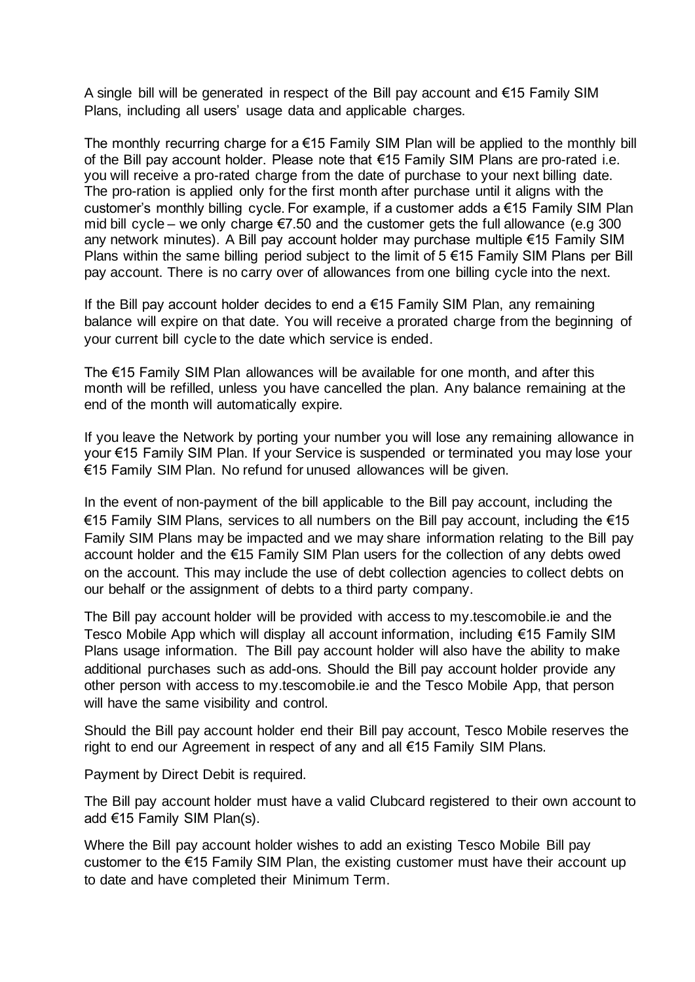A single bill will be generated in respect of the Bill pay account and €15 Family SIM Plans, including all users' usage data and applicable charges.

The monthly recurring charge for a  $\epsilon$ 15 Family SIM Plan will be applied to the monthly bill of the Bill pay account holder. Please note that €15 Family SIM Plans are pro-rated i.e. you will receive a pro-rated charge from the date of purchase to your next billing date. The pro-ration is applied only for the first month after purchase until it aligns with the customer's monthly billing cycle. For example, if a customer adds a €15 Family SIM Plan mid bill cycle – we only charge  $\epsilon$ 7.50 and the customer gets the full allowance (e.g 300 any network minutes). A Bill pay account holder may purchase multiple €15 Family SIM Plans within the same billing period subject to the limit of 5 €15 Family SIM Plans per Bill pay account. There is no carry over of allowances from one billing cycle into the next.

If the Bill pay account holder decides to end a €15 Family SIM Plan, any remaining balance will expire on that date. You will receive a prorated charge from the beginning of your current bill cycle to the date which service is ended.

The  $\epsilon$ 15 Family SIM Plan allowances will be available for one month, and after this month will be refilled, unless you have cancelled the plan. Any balance remaining at the end of the month will automatically expire.

If you leave the Network by porting your number you will lose any remaining allowance in your €15 Family SIM Plan. If your Service is suspended or terminated you may lose your €15 Family SIM Plan. No refund for unused allowances will be given.

In the event of non-payment of the bill applicable to the Bill pay account, including the €15 Family SIM Plans, services to all numbers on the Bill pay account, including the €15 Family SIM Plans may be impacted and we may share information relating to the Bill pay account holder and the €15 Family SIM Plan users for the collection of any debts owed on the account. This may include the use of debt collection agencies to collect debts on our behalf or the assignment of debts to a third party company.

The Bill pay account holder will be provided with access to my.tescomobile.ie and the Tesco Mobile App which will display all account information, including €15 Family SIM Plans usage information. The Bill pay account holder will also have the ability to make additional purchases such as add-ons. Should the Bill pay account holder provide any other person with access to my.tescomobile.ie and the Tesco Mobile App, that person will have the same visibility and control.

Should the Bill pay account holder end their Bill pay account, Tesco Mobile reserves the right to end our Agreement in respect of any and all €15 Family SIM Plans.

Payment by Direct Debit is required.

The Bill pay account holder must have a valid Clubcard registered to their own account to add €15 Family SIM Plan(s).

Where the Bill pay account holder wishes to add an existing Tesco Mobile Bill pay customer to the €15 Family SIM Plan, the existing customer must have their account up to date and have completed their Minimum Term.